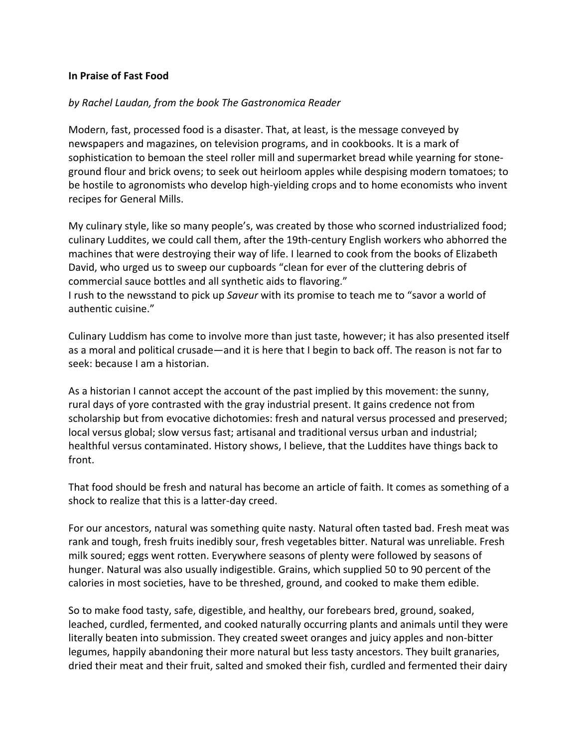## In Praise of Fast Food

## by Rachel Laudan, from the book The Gastronomica Reader

Modern, fast, processed food is a disaster. That, at least, is the message conveyed by newspapers and magazines, on television programs, and in cookbooks. It is a mark of sophistication to bemoan the steel roller mill and supermarket bread while yearning for stoneground flour and brick ovens; to seek out heirloom apples while despising modern tomatoes; to be hostile to agronomists who develop high-yielding crops and to home economists who invent recipes for General Mills.

My culinary style, like so many people's, was created by those who scorned industrialized food; culinary Luddites, we could call them, after the 19th-century English workers who abhorred the machines that were destroying their way of life. I learned to cook from the books of Elizabeth David, who urged us to sweep our cupboards "clean for ever of the cluttering debris of commercial sauce bottles and all synthetic aids to flavoring."

I rush to the newsstand to pick up Saveur with its promise to teach me to "savor a world of authentic cuisine."

Culinary Luddism has come to involve more than just taste, however; it has also presented itself as a moral and political crusade—and it is here that I begin to back off. The reason is not far to seek: because I am a historian.

As a historian I cannot accept the account of the past implied by this movement: the sunny, rural days of yore contrasted with the gray industrial present. It gains credence not from scholarship but from evocative dichotomies: fresh and natural versus processed and preserved; local versus global; slow versus fast; artisanal and traditional versus urban and industrial; healthful versus contaminated. History shows, I believe, that the Luddites have things back to front.

That food should be fresh and natural has become an article of faith. It comes as something of a shock to realize that this is a latter-day creed.

For our ancestors, natural was something quite nasty. Natural often tasted bad. Fresh meat was rank and tough, fresh fruits inedibly sour, fresh vegetables bitter. Natural was unreliable. Fresh milk soured; eggs went rotten. Everywhere seasons of plenty were followed by seasons of hunger. Natural was also usually indigestible. Grains, which supplied 50 to 90 percent of the calories in most societies, have to be threshed, ground, and cooked to make them edible.

So to make food tasty, safe, digestible, and healthy, our forebears bred, ground, soaked, leached, curdled, fermented, and cooked naturally occurring plants and animals until they were literally beaten into submission. They created sweet oranges and juicy apples and non-bitter legumes, happily abandoning their more natural but less tasty ancestors. They built granaries, dried their meat and their fruit, salted and smoked their fish, curdled and fermented their dairy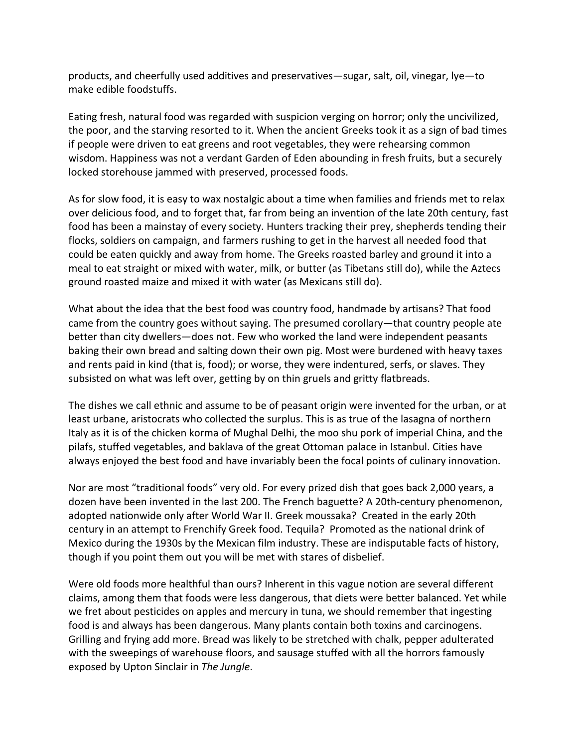products, and cheerfully used additives and preservatives—sugar, salt, oil, vinegar, lye—to make edible foodstuffs.

Eating fresh, natural food was regarded with suspicion verging on horror; only the uncivilized, the poor, and the starving resorted to it. When the ancient Greeks took it as a sign of bad times if people were driven to eat greens and root vegetables, they were rehearsing common wisdom. Happiness was not a verdant Garden of Eden abounding in fresh fruits, but a securely locked storehouse jammed with preserved, processed foods.

As for slow food, it is easy to wax nostalgic about a time when families and friends met to relax over delicious food, and to forget that, far from being an invention of the late 20th century, fast food has been a mainstay of every society. Hunters tracking their prey, shepherds tending their flocks, soldiers on campaign, and farmers rushing to get in the harvest all needed food that could be eaten quickly and away from home. The Greeks roasted barley and ground it into a meal to eat straight or mixed with water, milk, or butter (as Tibetans still do), while the Aztecs ground roasted maize and mixed it with water (as Mexicans still do).

What about the idea that the best food was country food, handmade by artisans? That food came from the country goes without saying. The presumed corollary—that country people ate better than city dwellers—does not. Few who worked the land were independent peasants baking their own bread and salting down their own pig. Most were burdened with heavy taxes and rents paid in kind (that is, food); or worse, they were indentured, serfs, or slaves. They subsisted on what was left over, getting by on thin gruels and gritty flatbreads.

The dishes we call ethnic and assume to be of peasant origin were invented for the urban, or at least urbane, aristocrats who collected the surplus. This is as true of the lasagna of northern Italy as it is of the chicken korma of Mughal Delhi, the moo shu pork of imperial China, and the pilafs, stuffed vegetables, and baklava of the great Ottoman palace in Istanbul. Cities have always enjoyed the best food and have invariably been the focal points of culinary innovation.

Nor are most "traditional foods" very old. For every prized dish that goes back 2,000 years, a dozen have been invented in the last 200. The French baguette? A 20th-century phenomenon, adopted nationwide only after World War II. Greek moussaka? Created in the early 20th century in an attempt to Frenchify Greek food. Tequila? Promoted as the national drink of Mexico during the 1930s by the Mexican film industry. These are indisputable facts of history, though if you point them out you will be met with stares of disbelief.

Were old foods more healthful than ours? Inherent in this vague notion are several different claims, among them that foods were less dangerous, that diets were better balanced. Yet while we fret about pesticides on apples and mercury in tuna, we should remember that ingesting food is and always has been dangerous. Many plants contain both toxins and carcinogens. Grilling and frying add more. Bread was likely to be stretched with chalk, pepper adulterated with the sweepings of warehouse floors, and sausage stuffed with all the horrors famously exposed by Upton Sinclair in *The Jungle*.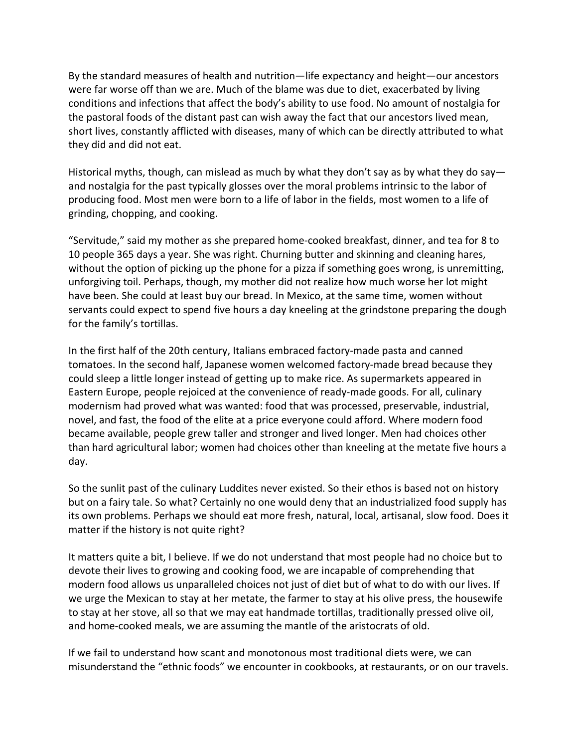By the standard measures of health and nutrition—life expectancy and height—our ancestors were far worse off than we are. Much of the blame was due to diet, exacerbated by living conditions and infections that affect the body's ability to use food. No amount of nostalgia for the pastoral foods of the distant past can wish away the fact that our ancestors lived mean, short lives, constantly afflicted with diseases, many of which can be directly attributed to what they did and did not eat.

Historical myths, though, can mislead as much by what they don't say as by what they do say and nostalgia for the past typically glosses over the moral problems intrinsic to the labor of producing food. Most men were born to a life of labor in the fields, most women to a life of grinding, chopping, and cooking.

"Servitude," said my mother as she prepared home-cooked breakfast, dinner, and tea for 8 to 10 people 365 days a year. She was right. Churning butter and skinning and cleaning hares, without the option of picking up the phone for a pizza if something goes wrong, is unremitting, unforgiving toil. Perhaps, though, my mother did not realize how much worse her lot might have been. She could at least buy our bread. In Mexico, at the same time, women without servants could expect to spend five hours a day kneeling at the grindstone preparing the dough for the family's tortillas.

In the first half of the 20th century, Italians embraced factory-made pasta and canned tomatoes. In the second half, Japanese women welcomed factory-made bread because they could sleep a little longer instead of getting up to make rice. As supermarkets appeared in Eastern Europe, people rejoiced at the convenience of ready-made goods. For all, culinary modernism had proved what was wanted: food that was processed, preservable, industrial, novel, and fast, the food of the elite at a price everyone could afford. Where modern food became available, people grew taller and stronger and lived longer. Men had choices other than hard agricultural labor; women had choices other than kneeling at the metate five hours a day.

So the sunlit past of the culinary Luddites never existed. So their ethos is based not on history but on a fairy tale. So what? Certainly no one would deny that an industrialized food supply has its own problems. Perhaps we should eat more fresh, natural, local, artisanal, slow food. Does it matter if the history is not quite right?

It matters quite a bit, I believe. If we do not understand that most people had no choice but to devote their lives to growing and cooking food, we are incapable of comprehending that modern food allows us unparalleled choices not just of diet but of what to do with our lives. If we urge the Mexican to stay at her metate, the farmer to stay at his olive press, the housewife to stay at her stove, all so that we may eat handmade tortillas, traditionally pressed olive oil, and home-cooked meals, we are assuming the mantle of the aristocrats of old.

If we fail to understand how scant and monotonous most traditional diets were, we can misunderstand the "ethnic foods" we encounter in cookbooks, at restaurants, or on our travels.